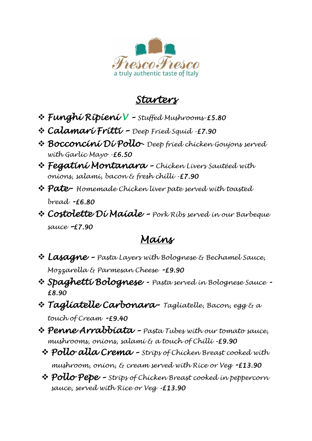

## *Starters*

- ❖ *Funghi Ripieni V – Stuffed Mushrooms-£5.80*
- ❖ *Calamari Fritti – Deep Fried Squid -£7.90*
- ❖ *Bocconcini Di Pollo Deep fried chicken Goujons served with Garlic Mayo -£6.50*
- ❖ *Fegatini Montanara – Chicken Livers Sautéed with onions, salami, bacon & fresh chilli -£7.90*
- ❖ *Pate Homemade Chicken liver pate served with toasted bread -£6.80*
- ❖ *Costolette Di Maiale – Pork Ribs served in our Barbeque sauce –£7.90*

## *Mains*

- ❖ *Lasagne – Pasta Layers with Bolognese & Bechamel Sauce, Mozzarella & Parmesan Cheese -£9.90*
- ❖ *Spaghetti Bolognese Pasta served in Bolognese Sauce - £8.90*
- ❖ *Tagliatelle Carbonara Tagliatelle, Bacon, egg & <sup>a</sup> touch of Cream -£9.40*
- ❖ *Penne Arrabbiata – Pasta Tubes with our tomato sauce, mushrooms, onions, salami & a touch of Chilli -£9.90* 
	- ❖ *Pollo alla Crema – Strips of Chicken Breast cooked with mushroom, onion, & cream served with Rice or Veg -£13.90*
	- ❖ *Pollo Pepe – Strips of Chicken Breast cooked in peppercorn sauce, served with Rice or Veg -£13.90*